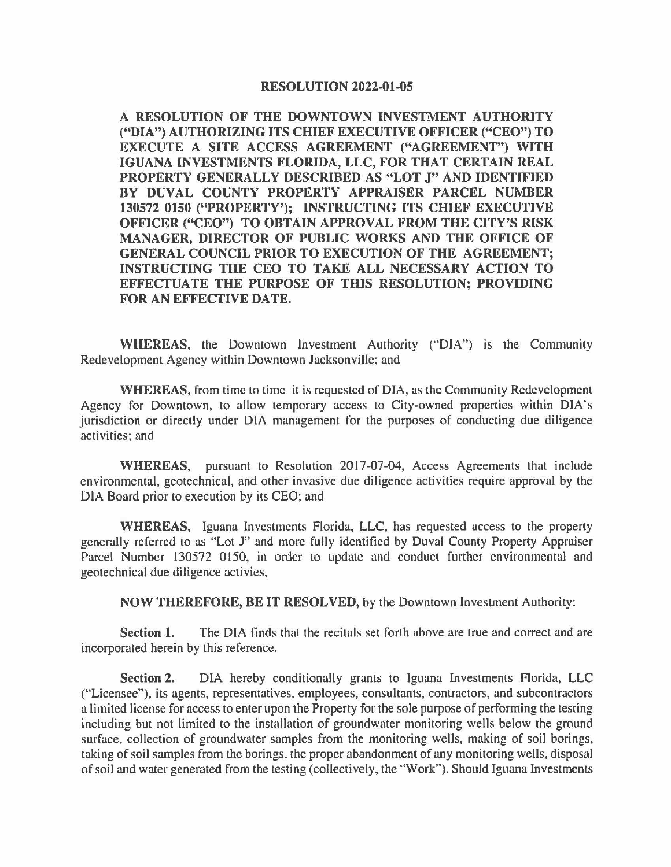**A RESOLUTION OF THE DOWNTOWN INVESTMENT AUTHORITY ("DIA") AUTHORIZING ITS CHIEF EXECUTIVE OFFICER ("CEO") TO EXECUTE A SITE ACCESS AGREEMENT ("AGREEMENT") WITH IGUANA INVESTMENTS FLORIDA, LLC, FOR THAT CERTAIN REAL PROPERTY GENERALLY DESCRIBED AS "LOT J" AND IDENTIFIED BY DUVAL COUNTY PROPERTY APPRAISER PARCEL NUMBER 130572 0150 ("PROPERTY'); INSTRUCTING ITS CHIEF EXECUTIVE OFFICER ("CEO") TO OBTAIN APPROVAL FROM THE CITY'S RISK MANAGER, DIRECTOR OF PUBLIC WORKS AND THE OFFICE OF GENERAL COUNCIL PRIOR TO EXECUTION OF THE AGREEMENT; INSTRUCTING THE CEO TO TAKE ALL NECESSARY ACTION TO EFFECTUATE THE PURPOSE OF THIS RESOLUTION; PROVIDING FOR AN EFFECTIVE DATE.** 

**WHEREAS,** the Downtown Investment Authority ("DIA") is the Community Redevelopment Agency within Downtown Jacksonville; and

**WHEREAS,** from time lo time it is requested of DIA, as the Community Redevelopment Agency for Downtown, to allow temporary access to City-owned properties within DIA's jurisdiction or directly under DIA management for the purposes of conducting due diligence activities; and

**WHEREAS,** pursuant *to* Resolution 2017-07-04, Access Agreements that include environmental, geotechnical, and other invasive due diligence activities require approval by the DIA Board prior to execution by its CEO; and

**WHEREAS,** Iguana Investments Florida, LLC, has requested access to the property generally referred to as "Lot J" and more fully identified by Duval County Property Appraiser Parcel Number 130572 0150, in order to update and conduct further environmental and geotechnical due diligence activies,

**NOW THEREFORE, BE IT RESOLVED,** by the Downtown Investment Authority:

**Section 1.** The DIA finds that the recitals set forth above are true and correct and are incorporated herein by this reference.

**Section 2.** DIA hereby conditionally grants to Iguana Investments Florida, LLC ("Licensee"), its agents, representatives, employees, consultants, contractors, and subcontractors a limited license for access to enter upon the Property for the sole purpose of performing the testing including but not limited to the installation of groundwater monitoring wells below the ground surface, collection of groundwater samples from the monitoring wells, making of soil borings, taking of soil samples from the borings, the proper abandonment of any monitoring wells, disposal of soil and water generated from the testing (collectively, the **"Work").** Should Iguana Investments